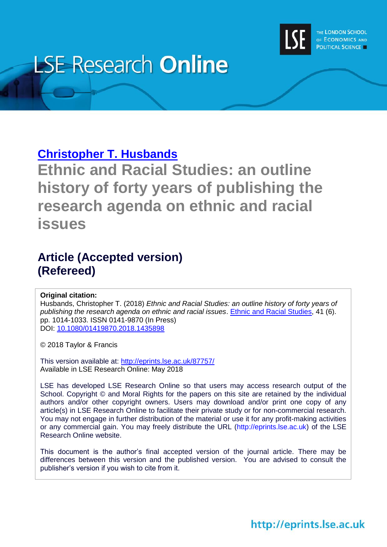

# **LSE Research Online**

# **[Christopher T. Husbands](http://www.lse.ac.uk/researchAndExpertise/Experts/profile.aspx?KeyValue=c.husbands@lse.ac.uk)**

**Ethnic and Racial Studies: an outline history of forty years of publishing the research agenda on ethnic and racial issues**

# **Article (Accepted version) (Refereed)**

#### **Original citation:**

Husbands, Christopher T. (2018) *Ethnic and Racial Studies: an outline history of forty years of publishing the research agenda on ethnic and racial issues*. [Ethnic and Racial Studies,](https://www.tandfonline.com/toc/rers20/current) 41 (6). pp. 1014-1033. ISSN 0141-9870 (In Press) DOI: [10.1080/01419870.2018.1435898](http://doi.org/10.1080/01419870.2018.1435898)

© 2018 Taylor & Francis

This version available at:<http://eprints.lse.ac.uk/87757/> Available in LSE Research Online: May 2018

LSE has developed LSE Research Online so that users may access research output of the School. Copyright © and Moral Rights for the papers on this site are retained by the individual authors and/or other copyright owners. Users may download and/or print one copy of any article(s) in LSE Research Online to facilitate their private study or for non-commercial research. You may not engage in further distribution of the material or use it for any profit-making activities or any commercial gain. You may freely distribute the URL (http://eprints.lse.ac.uk) of the LSE Research Online website.

This document is the author's final accepted version of the journal article. There may be differences between this version and the published version. You are advised to consult the publisher's version if you wish to cite from it.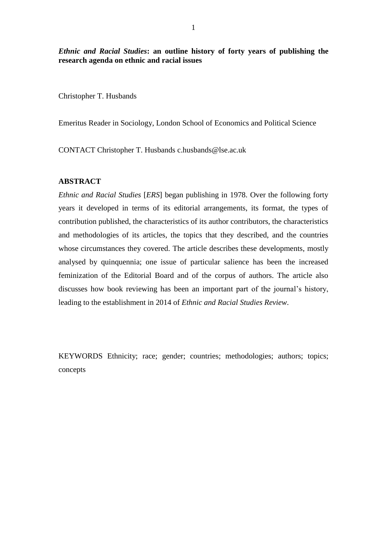*Ethnic and Racial Studies***: an outline history of forty years of publishing the research agenda on ethnic and racial issues**

Christopher T. Husbands

Emeritus Reader in Sociology, London School of Economics and Political Science

CONTACT Christopher T. Husbands c.husbands@lse.ac.uk

## **ABSTRACT**

*Ethnic and Racial Studies* [*ERS*] began publishing in 1978. Over the following forty years it developed in terms of its editorial arrangements, its format, the types of contribution published, the characteristics of its author contributors, the characteristics and methodologies of its articles, the topics that they described, and the countries whose circumstances they covered. The article describes these developments, mostly analysed by quinquennia; one issue of particular salience has been the increased feminization of the Editorial Board and of the corpus of authors. The article also discusses how book reviewing has been an important part of the journal's history, leading to the establishment in 2014 of *Ethnic and Racial Studies Review*.

KEYWORDS Ethnicity; race; gender; countries; methodologies; authors; topics; concepts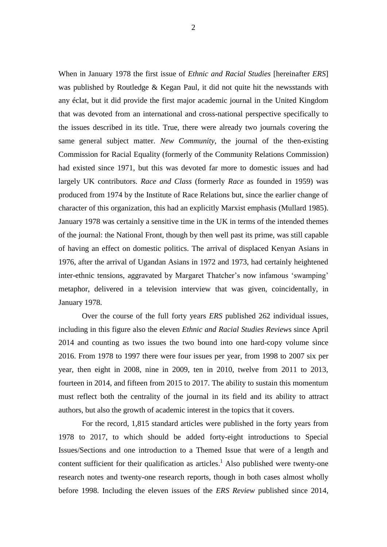When in January 1978 the first issue of *Ethnic and Racial Studies* [hereinafter *ERS*] was published by Routledge & Kegan Paul, it did not quite hit the newsstands with any éclat, but it did provide the first major academic journal in the United Kingdom that was devoted from an international and cross-national perspective specifically to the issues described in its title. True, there were already two journals covering the same general subject matter. *New Community*, the journal of the then-existing Commission for Racial Equality (formerly of the Community Relations Commission) had existed since 1971, but this was devoted far more to domestic issues and had largely UK contributors. *Race and Class* (formerly *Race* as founded in 1959) was produced from 1974 by the Institute of Race Relations but, since the earlier change of character of this organization, this had an explicitly Marxist emphasis (Mullard 1985). January 1978 was certainly a sensitive time in the UK in terms of the intended themes of the journal: the National Front, though by then well past its prime, was still capable of having an effect on domestic politics. The arrival of displaced Kenyan Asians in 1976, after the arrival of Ugandan Asians in 1972 and 1973, had certainly heightened inter-ethnic tensions, aggravated by Margaret Thatcher's now infamous 'swamping' metaphor, delivered in a television interview that was given, coincidentally, in January 1978.

Over the course of the full forty years *ERS* published 262 individual issues, including in this figure also the eleven *Ethnic and Racial Studies Review*s since April 2014 and counting as two issues the two bound into one hard-copy volume since 2016. From 1978 to 1997 there were four issues per year, from 1998 to 2007 six per year, then eight in 2008, nine in 2009, ten in 2010, twelve from 2011 to 2013, fourteen in 2014, and fifteen from 2015 to 2017. The ability to sustain this momentum must reflect both the centrality of the journal in its field and its ability to attract authors, but also the growth of academic interest in the topics that it covers.

For the record, 1,815 standard articles were published in the forty years from 1978 to 2017, to which should be added forty-eight introductions to Special Issues/Sections and one introduction to a Themed Issue that were of a length and content sufficient for their qualification as articles.<sup>1</sup> Also published were twenty-one research notes and twenty-one research reports, though in both cases almost wholly before 1998. Including the eleven issues of the *ERS Review* published since 2014,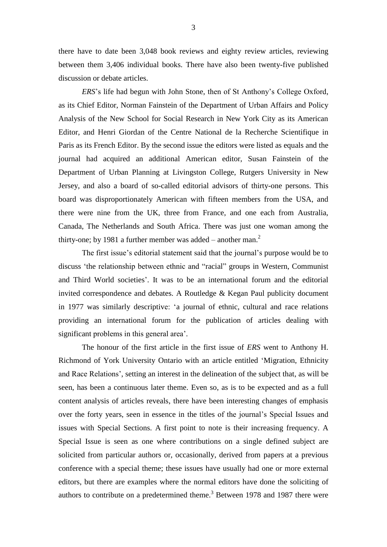there have to date been 3,048 book reviews and eighty review articles, reviewing between them 3,406 individual books. There have also been twenty-five published discussion or debate articles.

*ERS*'s life had begun with John Stone, then of St Anthony's College Oxford, as its Chief Editor, Norman Fainstein of the Department of Urban Affairs and Policy Analysis of the New School for Social Research in New York City as its American Editor, and Henri Giordan of the Centre National de la Recherche Scientifique in Paris as its French Editor. By the second issue the editors were listed as equals and the journal had acquired an additional American editor, Susan Fainstein of the Department of Urban Planning at Livingston College, Rutgers University in New Jersey, and also a board of so-called editorial advisors of thirty-one persons. This board was disproportionately American with fifteen members from the USA, and there were nine from the UK, three from France, and one each from Australia, Canada, The Netherlands and South Africa. There was just one woman among the thirty-one; by 1981 a further member was added  $-$  another man.<sup>2</sup>

The first issue's editorial statement said that the journal's purpose would be to discuss 'the relationship between ethnic and "racial" groups in Western, Communist and Third World societies'. It was to be an international forum and the editorial invited correspondence and debates. A Routledge & Kegan Paul publicity document in 1977 was similarly descriptive: 'a journal of ethnic, cultural and race relations providing an international forum for the publication of articles dealing with significant problems in this general area'.

The honour of the first article in the first issue of *ERS* went to Anthony H. Richmond of York University Ontario with an article entitled 'Migration, Ethnicity and Race Relations', setting an interest in the delineation of the subject that, as will be seen, has been a continuous later theme. Even so, as is to be expected and as a full content analysis of articles reveals, there have been interesting changes of emphasis over the forty years, seen in essence in the titles of the journal's Special Issues and issues with Special Sections. A first point to note is their increasing frequency. A Special Issue is seen as one where contributions on a single defined subject are solicited from particular authors or, occasionally, derived from papers at a previous conference with a special theme; these issues have usually had one or more external editors, but there are examples where the normal editors have done the soliciting of authors to contribute on a predetermined theme.<sup>3</sup> Between 1978 and 1987 there were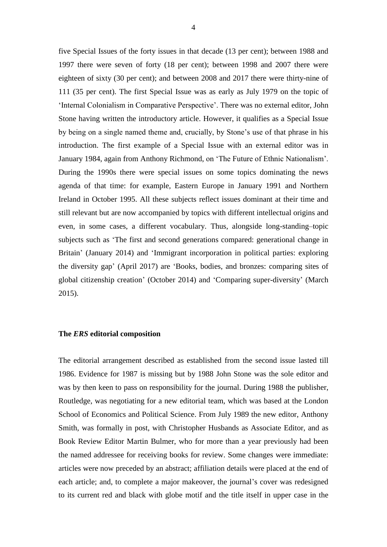five Special Issues of the forty issues in that decade (13 per cent); between 1988 and 1997 there were seven of forty (18 per cent); between 1998 and 2007 there were eighteen of sixty (30 per cent); and between 2008 and 2017 there were thirty-nine of 111 (35 per cent). The first Special Issue was as early as July 1979 on the topic of 'Internal Colonialism in Comparative Perspective'. There was no external editor, John Stone having written the introductory article. However, it qualifies as a Special Issue by being on a single named theme and, crucially, by Stone's use of that phrase in his introduction. The first example of a Special Issue with an external editor was in January 1984, again from Anthony Richmond, on 'The Future of Ethnic Nationalism'. During the 1990s there were special issues on some topics dominating the news agenda of that time: for example, Eastern Europe in January 1991 and Northern Ireland in October 1995. All these subjects reflect issues dominant at their time and still relevant but are now accompanied by topics with different intellectual origins and even, in some cases, a different vocabulary. Thus, alongside long-standing–topic subjects such as 'The first and second generations compared: generational change in Britain' (January 2014) and 'Immigrant incorporation in political parties: exploring the diversity gap' (April 2017) are 'Books, bodies, and bronzes: comparing sites of global citizenship creation' (October 2014) and 'Comparing super-diversity' (March 2015).

#### **The** *ERS* **editorial composition**

The editorial arrangement described as established from the second issue lasted till 1986. Evidence for 1987 is missing but by 1988 John Stone was the sole editor and was by then keen to pass on responsibility for the journal. During 1988 the publisher, Routledge, was negotiating for a new editorial team, which was based at the London School of Economics and Political Science. From July 1989 the new editor, Anthony Smith, was formally in post, with Christopher Husbands as Associate Editor, and as Book Review Editor Martin Bulmer, who for more than a year previously had been the named addressee for receiving books for review. Some changes were immediate: articles were now preceded by an abstract; affiliation details were placed at the end of each article; and, to complete a major makeover, the journal's cover was redesigned to its current red and black with globe motif and the title itself in upper case in the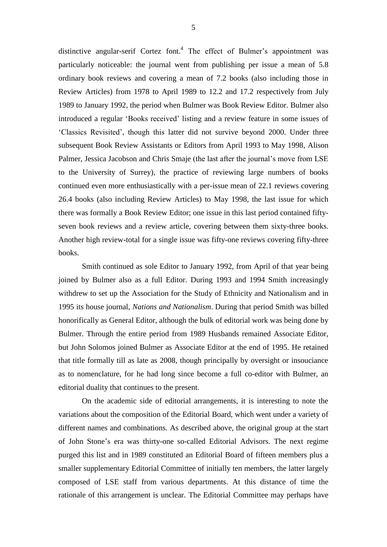distinctive angular-serif Cortez font. 4 The effect of Bulmer's appointment was particularly noticeable: the journal went from publishing per issue a mean of 5.8 ordinary book reviews and covering a mean of 7.2 books (also including those in Review Articles) from 1978 to April 1989 to 12.2 and 17.2 respectively from July 1989 to January 1992, the period when Bulmer was Book Review Editor. Bulmer also introduced a regular 'Books received' listing and a review feature in some issues of 'Classics Revisited', though this latter did not survive beyond 2000. Under three subsequent Book Review Assistants or Editors from April 1993 to May 1998, Alison Palmer, Jessica Jacobson and Chris Smaje (the last after the journal's move from LSE to the University of Surrey), the practice of reviewing large numbers of books continued even more enthusiastically with a per-issue mean of 22.1 reviews covering 26.4 books (also including Review Articles) to May 1998, the last issue for which there was formally a Book Review Editor; one issue in this last period contained fiftyseven book reviews and a review article, covering between them sixty-three books. Another high review-total for a single issue was fifty-one reviews covering fifty-three books.

Smith continued as sole Editor to January 1992, from April of that year being joined by Bulmer also as a full Editor. During 1993 and 1994 Smith increasingly withdrew to set up the Association for the Study of Ethnicity and Nationalism and in 1995 its house journal, *Nations and Nationalism*. During that period Smith was billed honorifically as General Editor, although the bulk of editorial work was being done by Bulmer. Through the entire period from 1989 Husbands remained Associate Editor, but John Solomos joined Bulmer as Associate Editor at the end of 1995. He retained that title formally till as late as 2008, though principally by oversight or insouciance as to nomenclature, for he had long since become a full co-editor with Bulmer, an editorial duality that continues to the present.

On the academic side of editorial arrangements, it is interesting to note the variations about the composition of the Editorial Board, which went under a variety of different names and combinations. As described above, the original group at the start of John Stone's era was thirty-one so-called Editorial Advisors. The next regime purged this list and in 1989 constituted an Editorial Board of fifteen members plus a smaller supplementary Editorial Committee of initially ten members, the latter largely composed of LSE staff from various departments. At this distance of time the rationale of this arrangement is unclear. The Editorial Committee may perhaps have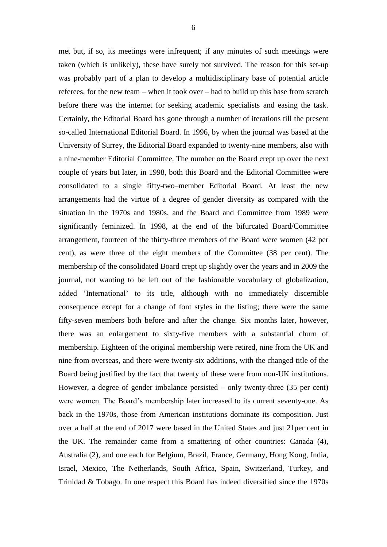met but, if so, its meetings were infrequent; if any minutes of such meetings were taken (which is unlikely), these have surely not survived. The reason for this set-up was probably part of a plan to develop a multidisciplinary base of potential article referees, for the new team – when it took over – had to build up this base from scratch before there was the internet for seeking academic specialists and easing the task. Certainly, the Editorial Board has gone through a number of iterations till the present so-called International Editorial Board. In 1996, by when the journal was based at the University of Surrey, the Editorial Board expanded to twenty-nine members, also with a nine-member Editorial Committee. The number on the Board crept up over the next couple of years but later, in 1998, both this Board and the Editorial Committee were consolidated to a single fifty-two–member Editorial Board. At least the new arrangements had the virtue of a degree of gender diversity as compared with the situation in the 1970s and 1980s, and the Board and Committee from 1989 were significantly feminized. In 1998, at the end of the bifurcated Board/Committee arrangement, fourteen of the thirty-three members of the Board were women (42 per cent), as were three of the eight members of the Committee (38 per cent). The membership of the consolidated Board crept up slightly over the years and in 2009 the journal, not wanting to be left out of the fashionable vocabulary of globalization, added 'International' to its title, although with no immediately discernible consequence except for a change of font styles in the listing; there were the same fifty-seven members both before and after the change. Six months later, however, there was an enlargement to sixty-five members with a substantial churn of membership. Eighteen of the original membership were retired, nine from the UK and nine from overseas, and there were twenty-six additions, with the changed title of the Board being justified by the fact that twenty of these were from non-UK institutions. However, a degree of gender imbalance persisted – only twenty-three (35 per cent) were women. The Board's membership later increased to its current seventy-one. As back in the 1970s, those from American institutions dominate its composition. Just over a half at the end of 2017 were based in the United States and just 21per cent in the UK. The remainder came from a smattering of other countries: Canada (4), Australia (2), and one each for Belgium, Brazil, France, Germany, Hong Kong, India, Israel, Mexico, The Netherlands, South Africa, Spain, Switzerland, Turkey, and

Trinidad & Tobago. In one respect this Board has indeed diversified since the 1970s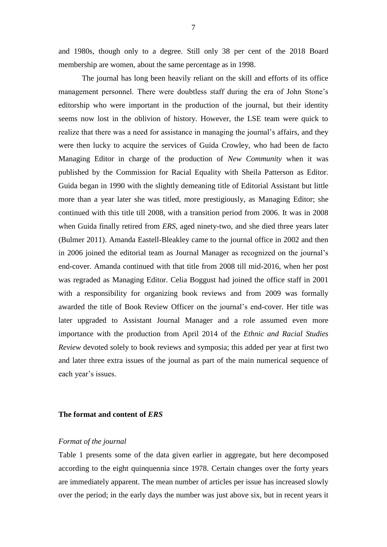and 1980s, though only to a degree. Still only 38 per cent of the 2018 Board membership are women, about the same percentage as in 1998.

The journal has long been heavily reliant on the skill and efforts of its office management personnel. There were doubtless staff during the era of John Stone's editorship who were important in the production of the journal, but their identity seems now lost in the oblivion of history. However, the LSE team were quick to realize that there was a need for assistance in managing the journal's affairs, and they were then lucky to acquire the services of Guida Crowley, who had been de facto Managing Editor in charge of the production of *New Community* when it was published by the Commission for Racial Equality with Sheila Patterson as Editor. Guida began in 1990 with the slightly demeaning title of Editorial Assistant but little more than a year later she was titled, more prestigiously, as Managing Editor; she continued with this title till 2008, with a transition period from 2006. It was in 2008 when Guida finally retired from *ERS*, aged ninety-two, and she died three years later (Bulmer 2011). Amanda Eastell-Bleakley came to the journal office in 2002 and then in 2006 joined the editorial team as Journal Manager as recognized on the journal's end-cover. Amanda continued with that title from 2008 till mid-2016, when her post was regraded as Managing Editor. Celia Boggust had joined the office staff in 2001 with a responsibility for organizing book reviews and from 2009 was formally awarded the title of Book Review Officer on the journal's end-cover. Her title was later upgraded to Assistant Journal Manager and a role assumed even more importance with the production from April 2014 of the *Ethnic and Racial Studies Review* devoted solely to book reviews and symposia; this added per year at first two and later three extra issues of the journal as part of the main numerical sequence of each year's issues.

#### **The format and content of** *ERS*

#### *Format of the journal*

Table 1 presents some of the data given earlier in aggregate, but here decomposed according to the eight quinquennia since 1978. Certain changes over the forty years are immediately apparent. The mean number of articles per issue has increased slowly over the period; in the early days the number was just above six, but in recent years it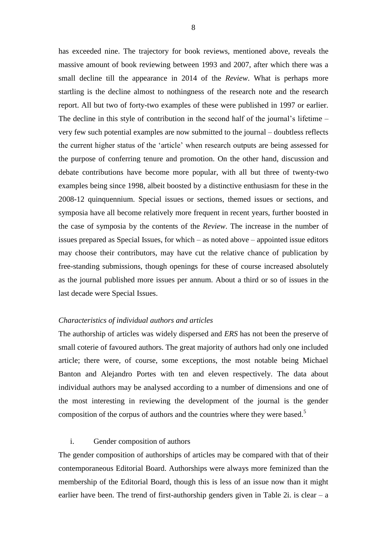has exceeded nine. The trajectory for book reviews, mentioned above, reveals the massive amount of book reviewing between 1993 and 2007, after which there was a small decline till the appearance in 2014 of the *Review*. What is perhaps more startling is the decline almost to nothingness of the research note and the research report. All but two of forty-two examples of these were published in 1997 or earlier. The decline in this style of contribution in the second half of the journal's lifetime – very few such potential examples are now submitted to the journal – doubtless reflects the current higher status of the 'article' when research outputs are being assessed for the purpose of conferring tenure and promotion. On the other hand, discussion and debate contributions have become more popular, with all but three of twenty-two examples being since 1998, albeit boosted by a distinctive enthusiasm for these in the 2008-12 quinquennium. Special issues or sections, themed issues or sections, and symposia have all become relatively more frequent in recent years, further boosted in the case of symposia by the contents of the *Review*. The increase in the number of issues prepared as Special Issues, for which – as noted above – appointed issue editors may choose their contributors, may have cut the relative chance of publication by free-standing submissions, though openings for these of course increased absolutely as the journal published more issues per annum. About a third or so of issues in the last decade were Special Issues.

#### *Characteristics of individual authors and articles*

The authorship of articles was widely dispersed and *ERS* has not been the preserve of small coterie of favoured authors. The great majority of authors had only one included article; there were, of course, some exceptions, the most notable being Michael Banton and Alejandro Portes with ten and eleven respectively. The data about individual authors may be analysed according to a number of dimensions and one of the most interesting in reviewing the development of the journal is the gender composition of the corpus of authors and the countries where they were based.<sup>5</sup>

#### i. Gender composition of authors

The gender composition of authorships of articles may be compared with that of their contemporaneous Editorial Board. Authorships were always more feminized than the membership of the Editorial Board, though this is less of an issue now than it might earlier have been. The trend of first-authorship genders given in Table 2i. is clear  $- a$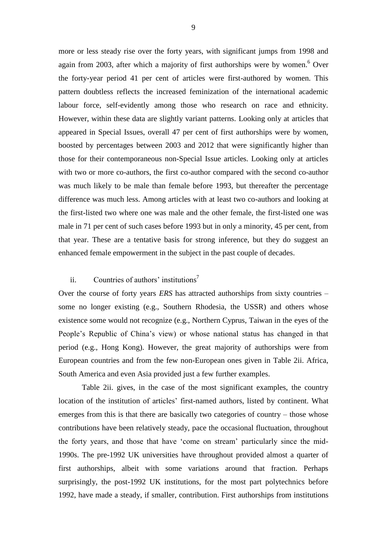more or less steady rise over the forty years, with significant jumps from 1998 and again from 2003, after which a majority of first authorships were by women. <sup>6</sup> Over the forty-year period 41 per cent of articles were first-authored by women. This pattern doubtless reflects the increased feminization of the international academic labour force, self-evidently among those who research on race and ethnicity. However, within these data are slightly variant patterns. Looking only at articles that appeared in Special Issues, overall 47 per cent of first authorships were by women, boosted by percentages between 2003 and 2012 that were significantly higher than those for their contemporaneous non-Special Issue articles. Looking only at articles with two or more co-authors, the first co-author compared with the second co-author was much likely to be male than female before 1993, but thereafter the percentage difference was much less. Among articles with at least two co-authors and looking at the first-listed two where one was male and the other female, the first-listed one was male in 71 per cent of such cases before 1993 but in only a minority, 45 per cent, from that year. These are a tentative basis for strong inference, but they do suggest an enhanced female empowerment in the subject in the past couple of decades.

## ii. Countries of authors' institutions<sup>7</sup>

Over the course of forty years *ERS* has attracted authorships from sixty countries – some no longer existing (e.g., Southern Rhodesia, the USSR) and others whose existence some would not recognize (e.g., Northern Cyprus, Taiwan in the eyes of the People's Republic of China's view) or whose national status has changed in that period (e.g., Hong Kong). However, the great majority of authorships were from European countries and from the few non-European ones given in Table 2ii. Africa, South America and even Asia provided just a few further examples.

Table 2ii. gives, in the case of the most significant examples, the country location of the institution of articles' first-named authors, listed by continent. What emerges from this is that there are basically two categories of country – those whose contributions have been relatively steady, pace the occasional fluctuation, throughout the forty years, and those that have 'come on stream' particularly since the mid-1990s. The pre-1992 UK universities have throughout provided almost a quarter of first authorships, albeit with some variations around that fraction. Perhaps surprisingly, the post-1992 UK institutions, for the most part polytechnics before 1992, have made a steady, if smaller, contribution. First authorships from institutions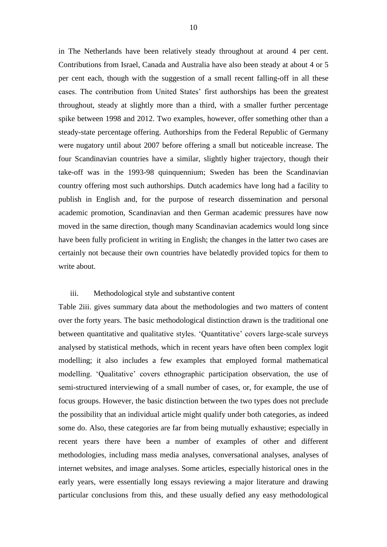in The Netherlands have been relatively steady throughout at around 4 per cent. Contributions from Israel, Canada and Australia have also been steady at about 4 or 5 per cent each, though with the suggestion of a small recent falling-off in all these cases. The contribution from United States' first authorships has been the greatest throughout, steady at slightly more than a third, with a smaller further percentage spike between 1998 and 2012. Two examples, however, offer something other than a steady-state percentage offering. Authorships from the Federal Republic of Germany were nugatory until about 2007 before offering a small but noticeable increase. The four Scandinavian countries have a similar, slightly higher trajectory, though their take-off was in the 1993-98 quinquennium; Sweden has been the Scandinavian country offering most such authorships. Dutch academics have long had a facility to publish in English and, for the purpose of research dissemination and personal academic promotion, Scandinavian and then German academic pressures have now moved in the same direction, though many Scandinavian academics would long since have been fully proficient in writing in English; the changes in the latter two cases are certainly not because their own countries have belatedly provided topics for them to write about.

#### iii. Methodological style and substantive content

Table 2iii. gives summary data about the methodologies and two matters of content over the forty years. The basic methodological distinction drawn is the traditional one between quantitative and qualitative styles. 'Quantitative' covers large-scale surveys analysed by statistical methods, which in recent years have often been complex logit modelling; it also includes a few examples that employed formal mathematical modelling. 'Qualitative' covers ethnographic participation observation, the use of semi-structured interviewing of a small number of cases, or, for example, the use of focus groups. However, the basic distinction between the two types does not preclude the possibility that an individual article might qualify under both categories, as indeed some do. Also, these categories are far from being mutually exhaustive; especially in recent years there have been a number of examples of other and different methodologies, including mass media analyses, conversational analyses, analyses of internet websites, and image analyses. Some articles, especially historical ones in the early years, were essentially long essays reviewing a major literature and drawing particular conclusions from this, and these usually defied any easy methodological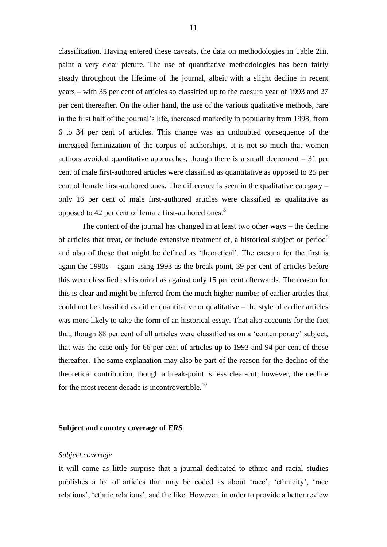classification. Having entered these caveats, the data on methodologies in Table 2iii. paint a very clear picture. The use of quantitative methodologies has been fairly steady throughout the lifetime of the journal, albeit with a slight decline in recent years – with 35 per cent of articles so classified up to the caesura year of 1993 and 27 per cent thereafter. On the other hand, the use of the various qualitative methods, rare in the first half of the journal's life, increased markedly in popularity from 1998, from 6 to 34 per cent of articles. This change was an undoubted consequence of the increased feminization of the corpus of authorships. It is not so much that women authors avoided quantitative approaches, though there is a small decrement  $-31$  per cent of male first-authored articles were classified as quantitative as opposed to 25 per cent of female first-authored ones. The difference is seen in the qualitative category – only 16 per cent of male first-authored articles were classified as qualitative as opposed to 42 per cent of female first-authored ones.<sup>8</sup>

The content of the journal has changed in at least two other ways – the decline of articles that treat, or include extensive treatment of, a historical subject or period<sup>9</sup> and also of those that might be defined as 'theoretical'. The caesura for the first is again the 1990s – again using 1993 as the break-point, 39 per cent of articles before this were classified as historical as against only 15 per cent afterwards. The reason for this is clear and might be inferred from the much higher number of earlier articles that could not be classified as either quantitative or qualitative – the style of earlier articles was more likely to take the form of an historical essay. That also accounts for the fact that, though 88 per cent of all articles were classified as on a 'contemporary' subject, that was the case only for 66 per cent of articles up to 1993 and 94 per cent of those thereafter. The same explanation may also be part of the reason for the decline of the theoretical contribution, though a break-point is less clear-cut; however, the decline for the most recent decade is incontrovertible.<sup>10</sup>

#### **Subject and country coverage of** *ERS*

#### *Subject coverage*

It will come as little surprise that a journal dedicated to ethnic and racial studies publishes a lot of articles that may be coded as about 'race', 'ethnicity', 'race relations', 'ethnic relations', and the like. However, in order to provide a better review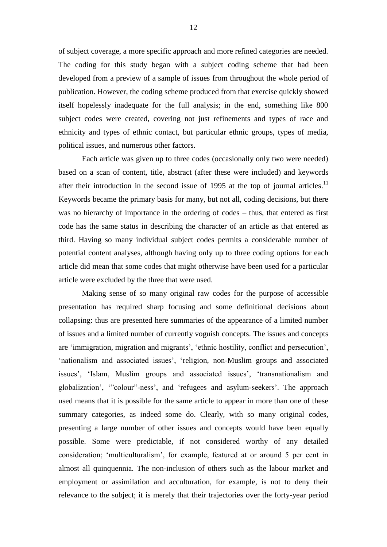of subject coverage, a more specific approach and more refined categories are needed. The coding for this study began with a subject coding scheme that had been developed from a preview of a sample of issues from throughout the whole period of publication. However, the coding scheme produced from that exercise quickly showed itself hopelessly inadequate for the full analysis; in the end, something like 800 subject codes were created, covering not just refinements and types of race and ethnicity and types of ethnic contact, but particular ethnic groups, types of media, political issues, and numerous other factors.

Each article was given up to three codes (occasionally only two were needed) based on a scan of content, title, abstract (after these were included) and keywords after their introduction in the second issue of 1995 at the top of journal articles.<sup>11</sup> Keywords became the primary basis for many, but not all, coding decisions, but there was no hierarchy of importance in the ordering of codes – thus, that entered as first code has the same status in describing the character of an article as that entered as third. Having so many individual subject codes permits a considerable number of potential content analyses, although having only up to three coding options for each article did mean that some codes that might otherwise have been used for a particular article were excluded by the three that were used.

Making sense of so many original raw codes for the purpose of accessible presentation has required sharp focusing and some definitional decisions about collapsing: thus are presented here summaries of the appearance of a limited number of issues and a limited number of currently voguish concepts. The issues and concepts are 'immigration, migration and migrants', 'ethnic hostility, conflict and persecution', 'nationalism and associated issues', 'religion, non-Muslim groups and associated issues', 'Islam, Muslim groups and associated issues', 'transnationalism and globalization', '"colour"-ness', and 'refugees and asylum-seekers'. The approach used means that it is possible for the same article to appear in more than one of these summary categories, as indeed some do. Clearly, with so many original codes, presenting a large number of other issues and concepts would have been equally possible. Some were predictable, if not considered worthy of any detailed consideration; 'multiculturalism', for example, featured at or around 5 per cent in almost all quinquennia. The non-inclusion of others such as the labour market and employment or assimilation and acculturation, for example, is not to deny their relevance to the subject; it is merely that their trajectories over the forty-year period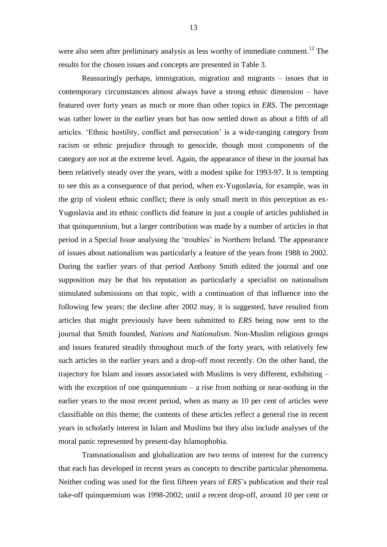were also seen after preliminary analysis as less worthy of immediate comment.<sup>12</sup> The results for the chosen issues and concepts are presented in Table 3.

Reassuringly perhaps, immigration, migration and migrants – issues that in contemporary circumstances almost always have a strong ethnic dimension – have featured over forty years as much or more than other topics in *ERS*. The percentage was rather lower in the earlier years but has now settled down as about a fifth of all articles. 'Ethnic hostility, conflict and persecution' is a wide-ranging category from racism or ethnic prejudice through to genocide, though most components of the category are not at the extreme level. Again, the appearance of these in the journal has been relatively steady over the years, with a modest spike for 1993-97. It is tempting to see this as a consequence of that period, when ex-Yugoslavia, for example, was in the grip of violent ethnic conflict; there is only small merit in this perception as ex-Yugoslavia and its ethnic conflicts did feature in just a couple of articles published in that quinquennium, but a larger contribution was made by a number of articles in that period in a Special Issue analysing the 'troubles' in Northern Ireland. The appearance of issues about nationalism was particularly a feature of the years from 1988 to 2002. During the earlier years of that period Anthony Smith edited the journal and one supposition may be that his reputation as particularly a specialist on nationalism stimulated submissions on that topic, with a continuation of that influence into the following few years; the decline after 2002 may, it is suggested, have resulted from articles that might previously have been submitted to *ERS* being now sent to the journal that Smith founded, *Nations and Nationalism*. Non-Muslim religious groups and issues featured steadily throughout much of the forty years, with relatively few such articles in the earlier years and a drop-off most recently. On the other hand, the trajectory for Islam and issues associated with Muslims is very different, exhibiting – with the exception of one quinquennium  $-$  a rise from nothing or near-nothing in the earlier years to the most recent period, when as many as 10 per cent of articles were classifiable on this theme; the contents of these articles reflect a general rise in recent years in scholarly interest in Islam and Muslims but they also include analyses of the moral panic represented by present-day Islamophobia.

Transnationalism and globalization are two terms of interest for the currency that each has developed in recent years as concepts to describe particular phenomena. Neither coding was used for the first fifteen years of *ERS*'s publication and their real take-off quinquennium was 1998-2002; until a recent drop-off, around 10 per cent or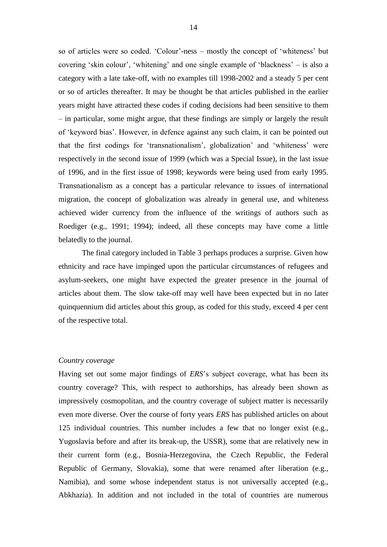so of articles were so coded. 'Colour'-ness – mostly the concept of 'whiteness' but covering 'skin colour', 'whitening' and one single example of 'blackness' – is also a category with a late take-off, with no examples till 1998-2002 and a steady 5 per cent or so of articles thereafter. It may be thought be that articles published in the earlier years might have attracted these codes if coding decisions had been sensitive to them – in particular, some might argue, that these findings are simply or largely the result of 'keyword bias'. However, in defence against any such claim, it can be pointed out that the first codings for 'transnationalism', globalization' and 'whiteness' were respectively in the second issue of 1999 (which was a Special Issue), in the last issue of 1996, and in the first issue of 1998; keywords were being used from early 1995. Transnationalism as a concept has a particular relevance to issues of international migration, the concept of globalization was already in general use, and whiteness achieved wider currency from the influence of the writings of authors such as Roediger (e.g., 1991; 1994); indeed, all these concepts may have come a little belatedly to the journal.

The final category included in Table 3 perhaps produces a surprise. Given how ethnicity and race have impinged upon the particular circumstances of refugees and asylum-seekers, one might have expected the greater presence in the journal of articles about them. The slow take-off may well have been expected but in no later quinquennium did articles about this group, as coded for this study, exceed 4 per cent of the respective total.

#### *Country coverage*

Having set out some major findings of *ERS*'s subject coverage, what has been its country coverage? This, with respect to authorships, has already been shown as impressively cosmopolitan, and the country coverage of subject matter is necessarily even more diverse. Over the course of forty years *ERS* has published articles on about 125 individual countries. This number includes a few that no longer exist (e.g., Yugoslavia before and after its break-up, the USSR), some that are relatively new in their current form (e.g., Bosnia-Herzegovina, the Czech Republic, the Federal Republic of Germany, Slovakia), some that were renamed after liberation (e.g., Namibia), and some whose independent status is not universally accepted (e.g., Abkhazia). In addition and not included in the total of countries are numerous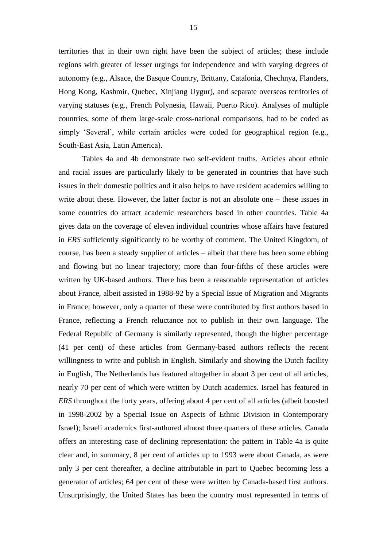territories that in their own right have been the subject of articles; these include regions with greater of lesser urgings for independence and with varying degrees of autonomy (e.g., Alsace, the Basque Country, Brittany, Catalonia, Chechnya, Flanders, Hong Kong, Kashmir, Quebec, Xinjiang Uygur), and separate overseas territories of varying statuses (e.g., French Polynesia, Hawaii, Puerto Rico). Analyses of multiple countries, some of them large-scale cross-national comparisons, had to be coded as simply 'Several', while certain articles were coded for geographical region (e.g., South-East Asia, Latin America).

Tables 4a and 4b demonstrate two self-evident truths. Articles about ethnic and racial issues are particularly likely to be generated in countries that have such issues in their domestic politics and it also helps to have resident academics willing to write about these. However, the latter factor is not an absolute one – these issues in some countries do attract academic researchers based in other countries. Table 4a gives data on the coverage of eleven individual countries whose affairs have featured in *ERS* sufficiently significantly to be worthy of comment. The United Kingdom, of course, has been a steady supplier of articles – albeit that there has been some ebbing and flowing but no linear trajectory; more than four-fifths of these articles were written by UK-based authors. There has been a reasonable representation of articles about France, albeit assisted in 1988-92 by a Special Issue of Migration and Migrants in France; however, only a quarter of these were contributed by first authors based in France, reflecting a French reluctance not to publish in their own language. The Federal Republic of Germany is similarly represented, though the higher percentage (41 per cent) of these articles from Germany-based authors reflects the recent willingness to write and publish in English. Similarly and showing the Dutch facility in English, The Netherlands has featured altogether in about 3 per cent of all articles, nearly 70 per cent of which were written by Dutch academics. Israel has featured in *ERS* throughout the forty years, offering about 4 per cent of all articles (albeit boosted in 1998-2002 by a Special Issue on Aspects of Ethnic Division in Contemporary Israel); Israeli academics first-authored almost three quarters of these articles. Canada offers an interesting case of declining representation: the pattern in Table 4a is quite clear and, in summary, 8 per cent of articles up to 1993 were about Canada, as were only 3 per cent thereafter, a decline attributable in part to Quebec becoming less a generator of articles; 64 per cent of these were written by Canada-based first authors. Unsurprisingly, the United States has been the country most represented in terms of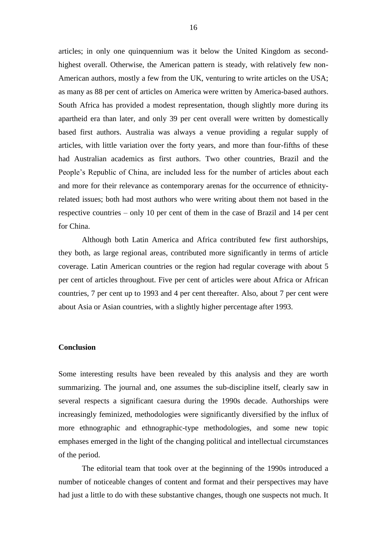articles; in only one quinquennium was it below the United Kingdom as secondhighest overall. Otherwise, the American pattern is steady, with relatively few non-American authors, mostly a few from the UK, venturing to write articles on the USA; as many as 88 per cent of articles on America were written by America-based authors. South Africa has provided a modest representation, though slightly more during its apartheid era than later, and only 39 per cent overall were written by domestically based first authors. Australia was always a venue providing a regular supply of articles, with little variation over the forty years, and more than four-fifths of these had Australian academics as first authors. Two other countries, Brazil and the People's Republic of China, are included less for the number of articles about each and more for their relevance as contemporary arenas for the occurrence of ethnicityrelated issues; both had most authors who were writing about them not based in the respective countries – only 10 per cent of them in the case of Brazil and 14 per cent for China.

Although both Latin America and Africa contributed few first authorships, they both, as large regional areas, contributed more significantly in terms of article coverage. Latin American countries or the region had regular coverage with about 5 per cent of articles throughout. Five per cent of articles were about Africa or African countries, 7 per cent up to 1993 and 4 per cent thereafter. Also, about 7 per cent were about Asia or Asian countries, with a slightly higher percentage after 1993.

#### **Conclusion**

Some interesting results have been revealed by this analysis and they are worth summarizing. The journal and, one assumes the sub-discipline itself, clearly saw in several respects a significant caesura during the 1990s decade. Authorships were increasingly feminized, methodologies were significantly diversified by the influx of more ethnographic and ethnographic-type methodologies, and some new topic emphases emerged in the light of the changing political and intellectual circumstances of the period.

The editorial team that took over at the beginning of the 1990s introduced a number of noticeable changes of content and format and their perspectives may have had just a little to do with these substantive changes, though one suspects not much. It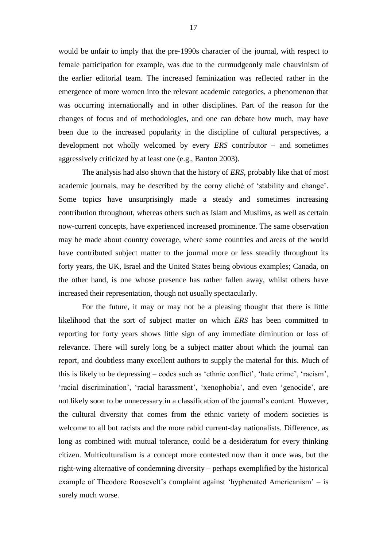would be unfair to imply that the pre-1990s character of the journal, with respect to female participation for example, was due to the curmudgeonly male chauvinism of the earlier editorial team. The increased feminization was reflected rather in the emergence of more women into the relevant academic categories, a phenomenon that was occurring internationally and in other disciplines. Part of the reason for the changes of focus and of methodologies, and one can debate how much, may have been due to the increased popularity in the discipline of cultural perspectives, a development not wholly welcomed by every *ERS* contributor – and sometimes aggressively criticized by at least one (e.g., Banton 2003).

The analysis had also shown that the history of *ERS*, probably like that of most academic journals, may be described by the corny cliché of 'stability and change'. Some topics have unsurprisingly made a steady and sometimes increasing contribution throughout, whereas others such as Islam and Muslims, as well as certain now-current concepts, have experienced increased prominence. The same observation may be made about country coverage, where some countries and areas of the world have contributed subject matter to the journal more or less steadily throughout its forty years, the UK, Israel and the United States being obvious examples; Canada, on the other hand, is one whose presence has rather fallen away, whilst others have increased their representation, though not usually spectacularly.

For the future, it may or may not be a pleasing thought that there is little likelihood that the sort of subject matter on which *ERS* has been committed to reporting for forty years shows little sign of any immediate diminution or loss of relevance. There will surely long be a subject matter about which the journal can report, and doubtless many excellent authors to supply the material for this. Much of this is likely to be depressing – codes such as 'ethnic conflict', 'hate crime', 'racism', 'racial discrimination', 'racial harassment', 'xenophobia', and even 'genocide', are not likely soon to be unnecessary in a classification of the journal's content. However, the cultural diversity that comes from the ethnic variety of modern societies is welcome to all but racists and the more rabid current-day nationalists. Difference, as long as combined with mutual tolerance, could be a desideratum for every thinking citizen. Multiculturalism is a concept more contested now than it once was, but the right-wing alternative of condemning diversity – perhaps exemplified by the historical example of Theodore Roosevelt's complaint against 'hyphenated Americanism' – is surely much worse.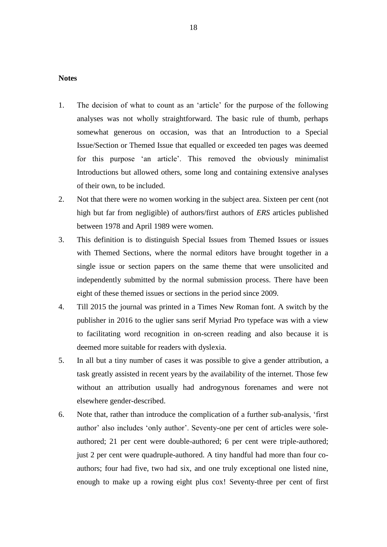#### **Notes**

- 1. The decision of what to count as an 'article' for the purpose of the following analyses was not wholly straightforward. The basic rule of thumb, perhaps somewhat generous on occasion, was that an Introduction to a Special Issue/Section or Themed Issue that equalled or exceeded ten pages was deemed for this purpose 'an article'. This removed the obviously minimalist Introductions but allowed others, some long and containing extensive analyses of their own, to be included.
- 2. Not that there were no women working in the subject area. Sixteen per cent (not high but far from negligible) of authors/first authors of *ERS* articles published between 1978 and April 1989 were women.
- 3. This definition is to distinguish Special Issues from Themed Issues or issues with Themed Sections, where the normal editors have brought together in a single issue or section papers on the same theme that were unsolicited and independently submitted by the normal submission process. There have been eight of these themed issues or sections in the period since 2009.
- 4. Till 2015 the journal was printed in a Times New Roman font. A switch by the publisher in 2016 to the uglier sans serif Myriad Pro typeface was with a view to facilitating word recognition in on-screen reading and also because it is deemed more suitable for readers with dyslexia.
- 5. In all but a tiny number of cases it was possible to give a gender attribution, a task greatly assisted in recent years by the availability of the internet. Those few without an attribution usually had androgynous forenames and were not elsewhere gender-described.
- 6. Note that, rather than introduce the complication of a further sub-analysis, 'first author' also includes 'only author'. Seventy-one per cent of articles were soleauthored; 21 per cent were double-authored; 6 per cent were triple-authored; just 2 per cent were quadruple-authored. A tiny handful had more than four coauthors; four had five, two had six, and one truly exceptional one listed nine, enough to make up a rowing eight plus cox! Seventy-three per cent of first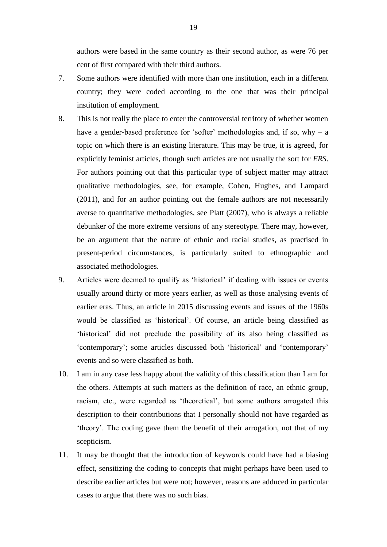authors were based in the same country as their second author, as were 76 per cent of first compared with their third authors.

- 7. Some authors were identified with more than one institution, each in a different country; they were coded according to the one that was their principal institution of employment.
- 8. This is not really the place to enter the controversial territory of whether women have a gender-based preference for 'softer' methodologies and, if so, why – a topic on which there is an existing literature. This may be true, it is agreed, for explicitly feminist articles, though such articles are not usually the sort for *ERS*. For authors pointing out that this particular type of subject matter may attract qualitative methodologies, see, for example, Cohen, Hughes, and Lampard (2011), and for an author pointing out the female authors are not necessarily averse to quantitative methodologies, see Platt (2007), who is always a reliable debunker of the more extreme versions of any stereotype. There may, however, be an argument that the nature of ethnic and racial studies, as practised in present-period circumstances, is particularly suited to ethnographic and associated methodologies.
- 9. Articles were deemed to qualify as 'historical' if dealing with issues or events usually around thirty or more years earlier, as well as those analysing events of earlier eras. Thus, an article in 2015 discussing events and issues of the 1960s would be classified as 'historical'. Of course, an article being classified as 'historical' did not preclude the possibility of its also being classified as 'contemporary'; some articles discussed both 'historical' and 'contemporary' events and so were classified as both.
- 10. I am in any case less happy about the validity of this classification than I am for the others. Attempts at such matters as the definition of race, an ethnic group, racism, etc., were regarded as 'theoretical', but some authors arrogated this description to their contributions that I personally should not have regarded as 'theory'. The coding gave them the benefit of their arrogation, not that of my scepticism.
- 11. It may be thought that the introduction of keywords could have had a biasing effect, sensitizing the coding to concepts that might perhaps have been used to describe earlier articles but were not; however, reasons are adduced in particular cases to argue that there was no such bias.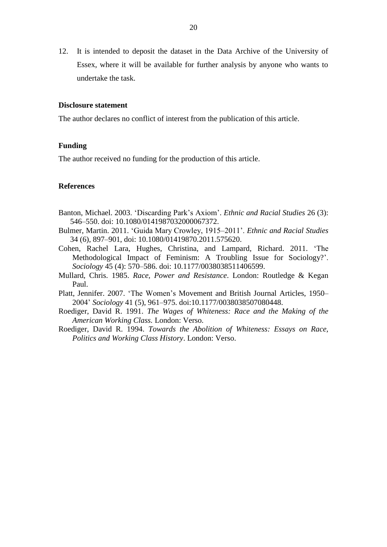12. It is intended to deposit the dataset in the Data Archive of the University of Essex, where it will be available for further analysis by anyone who wants to undertake the task.

#### **Disclosure statement**

The author declares no conflict of interest from the publication of this article.

#### **Funding**

The author received no funding for the production of this article.

#### **References**

- Banton, Michael. 2003. 'Discarding Park's Axiom'. *Ethnic and Racial Studies* 26 (3): 546–550. doi: 10.1080/0141987032000067372.
- Bulmer, Martin. 2011. 'Guida Mary Crowley, 1915–2011'. *Ethnic and Racial Studies* 34 (6), 897–901, doi: 10.1080/01419870.2011.575620.
- Cohen, Rachel Lara, Hughes, Christina, and Lampard, Richard. 2011. 'The Methodological Impact of Feminism: A Troubling Issue for Sociology?'. *Sociology* 45 (4): 570–586. doi: 10.1177/0038038511406599.
- Mullard, Chris. 1985. *Race, Power and Resistance*. London: Routledge & Kegan Paul.
- Platt, Jennifer. 2007. 'The Women's Movement and British Journal Articles, 1950– 2004' *Sociology* 41 (5), 961–975. doi:10.1177/0038038507080448.
- Roediger, David R. 1991. *The Wages of Whiteness: Race and the Making of the American Working Class.* London: Verso.
- Roediger, David R. 1994. *Towards the Abolition of Whiteness: Essays on Race, Politics and Working Class History*. London: Verso.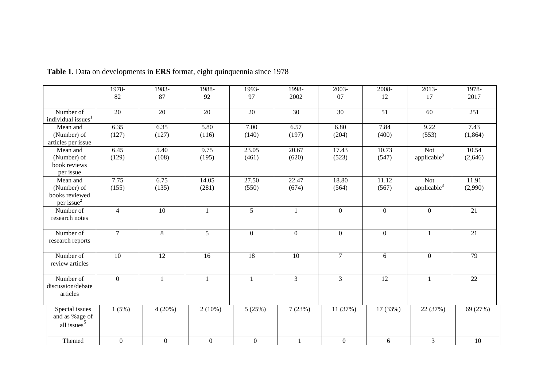|                                                                     | 1978-            | 1983-            | 1988-          | 1993-          | 1998-          | 2003-          | 2008-           | 2013-                          | 1978-            |
|---------------------------------------------------------------------|------------------|------------------|----------------|----------------|----------------|----------------|-----------------|--------------------------------|------------------|
|                                                                     | 82               | 87               | 92             | 97             | 2002           | 07             | 12              | 17                             | 2017             |
| Number of<br>individual issues <sup>1</sup>                         | 20               | 20               | 20             | 20             | 30             | 30             | 51              | 60                             | 251              |
| Mean and<br>(Number) of<br>articles per issue                       | 6.35<br>(127)    | 6.35<br>(127)    | 5.80<br>(116)  | 7.00<br>(140)  | 6.57<br>(197)  | 6.80<br>(204)  | 7.84<br>(400)   | 9.22<br>(553)                  | 7.43<br>(1, 864) |
| Mean and<br>(Number) of<br>book reviews<br>per issue                | 6.45<br>(129)    | 5.40<br>(108)    | 9.75<br>(195)  | 23.05<br>(461) | 20.67<br>(620) | 17.43<br>(523) | 10.73<br>(547)  | <b>Not</b><br>applicable $3$   | 10.54<br>(2,646) |
| Mean and<br>(Number) of<br>books reviewed<br>per issue <sup>2</sup> | 7.75<br>(155)    | 6.75<br>(135)    | 14.05<br>(281) | 27.50<br>(550) | 22.47<br>(674) | 18.80<br>(564) | 11.12<br>(567)  | Not<br>applicable <sup>3</sup> | 11.91<br>(2,990) |
| Number of<br>research notes                                         | $\overline{4}$   | $\overline{10}$  | $\mathbf{1}$   | $\mathfrak{S}$ | $\mathbf{1}$   | $\overline{0}$ | $\overline{0}$  | $\mathbf{0}$                   | $\overline{21}$  |
| Number of<br>research reports                                       | $\overline{7}$   | 8                | 5 <sup>5</sup> | $\overline{0}$ | $\mathbf{0}$   | $\overline{0}$ | $\overline{0}$  | $\mathbf{1}$                   | 21               |
| Number of<br>review articles                                        | $10\,$           | 12               | 16             | 18             | 10             | $\overline{7}$ | 6               | $\overline{0}$                 | 79               |
| Number of<br>discussion/debate<br>articles                          | $\mathbf{0}$     | 1                | $\mathbf{1}$   | $\mathbf{1}$   | $\overline{3}$ | $\overline{3}$ | $\overline{12}$ | 1                              | $\overline{22}$  |
| Special issues<br>and as %age of<br>all issues <sup>5</sup>         | 1(5%)            | 4(20%)           | $2(10\%)$      | 5(25%)         | 7(23%)         | 11(37%)        | 17 (33%)        | 22 (37%)                       | 69 (27%)         |
| Themed                                                              | $\boldsymbol{0}$ | $\boldsymbol{0}$ | $\overline{0}$ | $\mathbf{0}$   |                | $\overline{0}$ | 6               | $\mathfrak{Z}$                 | $\overline{10}$  |

**Table 1.** Data on developments in **ERS** format, eight quinquennia since 1978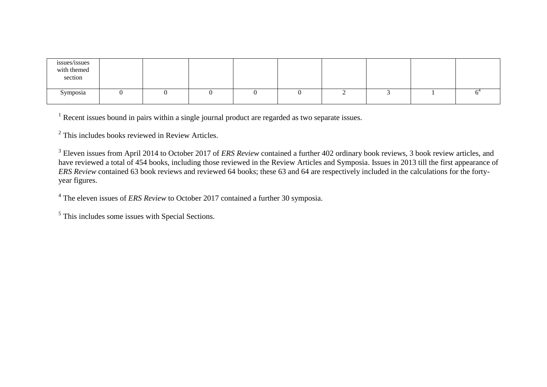| issues/issues<br>with themed<br>section |  |  |  |  |  |
|-----------------------------------------|--|--|--|--|--|
| Symposia                                |  |  |  |  |  |

<sup>1</sup> Recent issues bound in pairs within a single journal product are regarded as two separate issues.

 $2$  This includes books reviewed in Review Articles.

<sup>3</sup> Eleven issues from April 2014 to October 2017 of *ERS Review* contained a further 402 ordinary book reviews, 3 book review articles, and have reviewed a total of 454 books, including those reviewed in the Review Articles and Symposia. Issues in 2013 till the first appearance of *ERS Review* contained 63 book reviews and reviewed 64 books; these 63 and 64 are respectively included in the calculations for the fortyyear figures.

<sup>4</sup> The eleven issues of *ERS Review* to October 2017 contained a further 30 symposia.

<sup>5</sup> This includes some issues with Special Sections.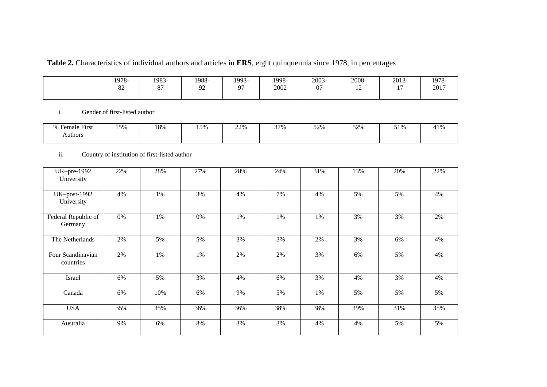# **Table 2.** Characteristics of individual authors and articles in **ERS**, eight quinquennia since 1978, in percentages

| 1978-<br>$\Omega$<br>ŌΖ | 1983-<br>$\sim$ $-$ | 1988-<br>∩∩<br>, , | 1993- | 1998-<br>2002 | 2003-<br>$\sim$<br>$\mathbf{v}$ | 2008-<br>. . | 2013-<br>$\overline{\phantom{a}}$ | 1978-<br>2017 |
|-------------------------|---------------------|--------------------|-------|---------------|---------------------------------|--------------|-----------------------------------|---------------|
|                         |                     |                    |       |               |                                 |              |                                   |               |

## i. Gender of first-listed author

| $\overline{\phantom{a}}$<br>0/2<br><b>First</b><br>Female | 150/<br>. <i>. .</i> . | 18% | 15%<br>-- - - | 22% | 270<br>$\sqrt{ }$ | $\epsilon$<br>∪ ⁄ ∠⁄ ب<br>-- - - | 500<br>۰ سه ب | $-10$<br>J 17 U<br>- - |  |
|-----------------------------------------------------------|------------------------|-----|---------------|-----|-------------------|----------------------------------|---------------|------------------------|--|
| Authors                                                   |                        |     |               |     |                   |                                  |               |                        |  |

#### ii. Country of institution of first-listed author

| UK-pre-1992<br>University      | 22% | 28% | 27% | 28% | 24% | 31% | 13% | 20% | 22% |
|--------------------------------|-----|-----|-----|-----|-----|-----|-----|-----|-----|
| $UK-post-1992$<br>University   | 4%  | 1%  | 3%  | 4%  | 7%  | 4%  | 5%  | 5%  | 4%  |
| Federal Republic of<br>Germany | 0%  | 1%  | 0%  | 1%  | 1%  | 1%  | 3%  | 3%  | 2%  |
| The Netherlands                | 2%  | 5%  | 5%  | 3%  | 3%  | 2%  | 3%  | 6%  | 4%  |
| Four Scandinavian<br>countries | 2%  | 1%  | 1%  | 2%  | 2%  | 3%  | 6%  | 5%  | 4%  |
| Israel                         | 6%  | 5%  | 3%  | 4%  | 6%  | 3%  | 4%  | 3%  | 4%  |
| Canada                         | 6%  | 10% | 6%  | 9%  | 5%  | 1%  | 5%  | 5%  | 5%  |
| <b>USA</b>                     | 35% | 35% | 36% | 36% | 38% | 38% | 39% | 31% | 35% |
| Australia                      | 9%  | 6%  | 8%  | 3%  | 3%  | 4%  | 4%  | 5%  | 5%  |